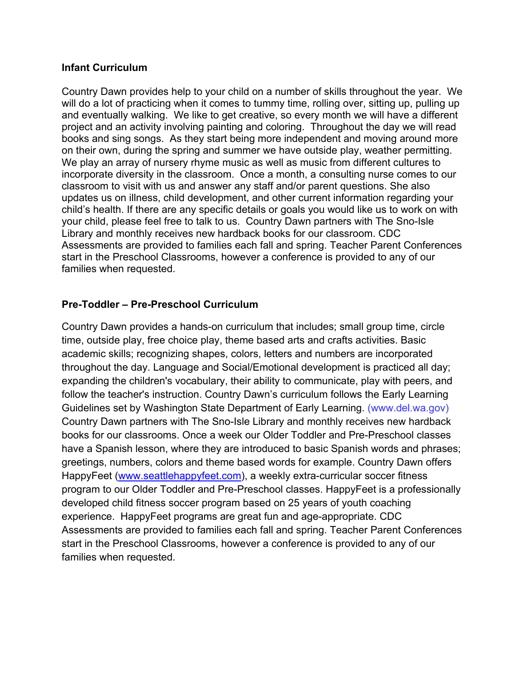## **Infant Curriculum**

Country Dawn provides help to your child on a number of skills throughout the year. We will do a lot of practicing when it comes to tummy time, rolling over, sitting up, pulling up and eventually walking. We like to get creative, so every month we will have a different project and an activity involving painting and coloring. Throughout the day we will read books and sing songs. As they start being more independent and moving around more on their own, during the spring and summer we have outside play, weather permitting. We play an array of nursery rhyme music as well as music from different cultures to incorporate diversity in the classroom. Once a month, a consulting nurse comes to our classroom to visit with us and answer any staff and/or parent questions. She also updates us on illness, child development, and other current information regarding your child's health. If there are any specific details or goals you would like us to work on with your child, please feel free to talk to us. Country Dawn partners with The Sno-Isle Library and monthly receives new hardback books for our classroom. CDC Assessments are provided to families each fall and spring. Teacher Parent Conferences start in the Preschool Classrooms, however a conference is provided to any of our families when requested.

## **Pre-Toddler – Pre-Preschool Curriculum**

Country Dawn provides a hands-on curriculum that includes; small group time, circle time, outside play, free choice play, theme based arts and crafts activities. Basic academic skills; recognizing shapes, colors, letters and numbers are incorporated throughout the day. Language and Social/Emotional development is practiced all day; expanding the children's vocabulary, their ability to communicate, play with peers, and follow the teacher's instruction. Country Dawn's curriculum follows the Early Learning Guidelines set by Washington State Department of Early Learning. (www.del.wa.gov) Country Dawn partners with The Sno-Isle Library and monthly receives new hardback books for our classrooms. Once a week our Older Toddler and Pre-Preschool classes have a Spanish lesson, where they are introduced to basic Spanish words and phrases; greetings, numbers, colors and theme based words for example. Country Dawn offers HappyFeet (www.seattlehappyfeet.com), a weekly extra-curricular soccer fitness program to our Older Toddler and Pre-Preschool classes. HappyFeet is a professionally developed child fitness soccer program based on 25 years of youth coaching experience. HappyFeet programs are great fun and age-appropriate. CDC Assessments are provided to families each fall and spring. Teacher Parent Conferences start in the Preschool Classrooms, however a conference is provided to any of our families when requested.